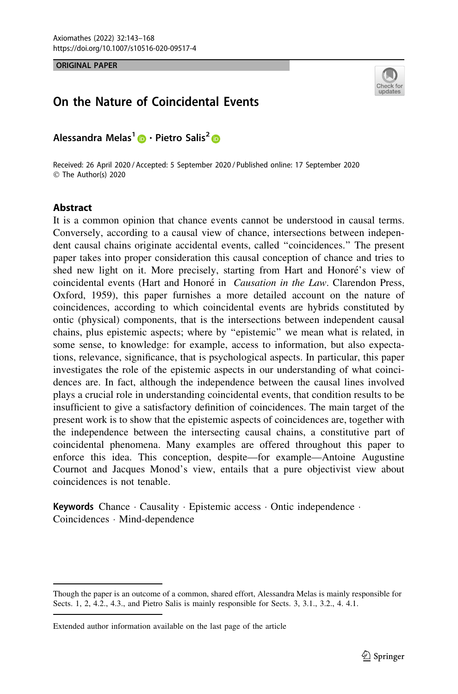ORIGINAL PAPER



## On the Nature of Coincidental Events

Alessandra Melas<sup>[1](http://orcid.org/0000-0002-8277-9833)</sup> • Pietro Salis<sup>[2](http://orcid.org/0000-0001-6973-1440)</sup> **D** 

Received: 26 April 2020 / Accepted: 5 September 2020 / Published online: 17 September 2020  $\circledcirc$  The Author(s) 2020

#### Abstract

It is a common opinion that chance events cannot be understood in causal terms. Conversely, according to a causal view of chance, intersections between independent causal chains originate accidental events, called ''coincidences.'' The present paper takes into proper consideration this causal conception of chance and tries to shed new light on it. More precisely, starting from Hart and Honoré's view of coincidental events (Hart and Honoré in *Causation in the Law*. Clarendon Press, Oxford, 1959), this paper furnishes a more detailed account on the nature of coincidences, according to which coincidental events are hybrids constituted by ontic (physical) components, that is the intersections between independent causal chains, plus epistemic aspects; where by ''epistemic'' we mean what is related, in some sense, to knowledge: for example, access to information, but also expectations, relevance, significance, that is psychological aspects. In particular, this paper investigates the role of the epistemic aspects in our understanding of what coincidences are. In fact, although the independence between the causal lines involved plays a crucial role in understanding coincidental events, that condition results to be insufficient to give a satisfactory definition of coincidences. The main target of the present work is to show that the epistemic aspects of coincidences are, together with the independence between the intersecting causal chains, a constitutive part of coincidental phenomena. Many examples are offered throughout this paper to enforce this idea. This conception, despite—for example—Antoine Augustine Cournot and Jacques Monod's view, entails that a pure objectivist view about coincidences is not tenable.

Keywords Chance · Causality · Epistemic access · Ontic independence · Coincidences - Mind-dependence

Though the paper is an outcome of a common, shared effort, Alessandra Melas is mainly responsible for Sects. 1, 2, 4.2., 4.3., and Pietro Salis is mainly responsible for Sects. 3, 3.1., 3.2., 4. 4.1.

Extended author information available on the last page of the article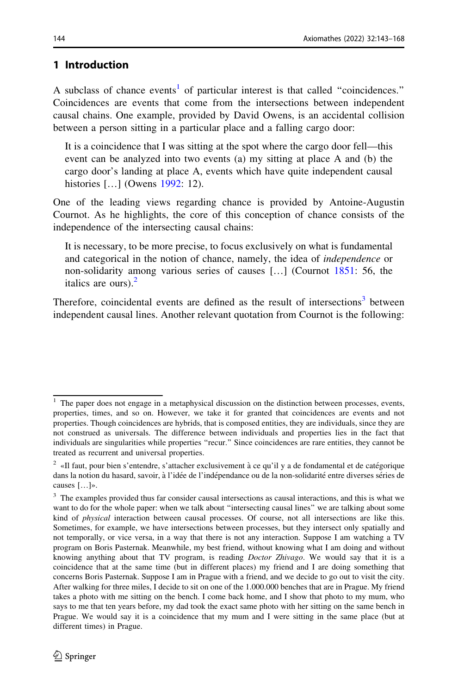## 1 Introduction

A subclass of chance events<sup>1</sup> of particular interest is that called "coincidences." Coincidences are events that come from the intersections between independent causal chains. One example, provided by David Owens, is an accidental collision between a person sitting in a particular place and a falling cargo door:

It is a coincidence that I was sitting at the spot where the cargo door fell—this event can be analyzed into two events (a) my sitting at place A and (b) the cargo door's landing at place A, events which have quite independent causal histories […] (Owens [1992:](#page-24-0) 12).

One of the leading views regarding chance is provided by Antoine-Augustin Cournot. As he highlights, the core of this conception of chance consists of the independence of the intersecting causal chains:

It is necessary, to be more precise, to focus exclusively on what is fundamental and categorical in the notion of chance, namely, the idea of independence or non-solidarity among various series of causes […] (Cournot [1851:](#page-24-0) 56, the italics are ours). $<sup>2</sup>$ </sup>

Therefore, coincidental events are defined as the result of intersections<sup>3</sup> between independent causal lines. Another relevant quotation from Cournot is the following:

 $1$  The paper does not engage in a metaphysical discussion on the distinction between processes, events, properties, times, and so on. However, we take it for granted that coincidences are events and not properties. Though coincidences are hybrids, that is composed entities, they are individuals, since they are not construed as universals. The difference between individuals and properties lies in the fact that individuals are singularities while properties ''recur.'' Since coincidences are rare entities, they cannot be treated as recurrent and universal properties.

 $2 \times 1$  faut, pour bien s'entendre, s'attacher exclusivement à ce qu'il y a de fondamental et de catégorique dans la notion du hasard, savoir, à l'idée de l'indépendance ou de la non-solidarité entre diverses séries de causes […]».

 $3$  The examples provided thus far consider causal intersections as causal interactions, and this is what we want to do for the whole paper: when we talk about "intersecting causal lines" we are talking about some kind of *physical* interaction between causal processes. Of course, not all intersections are like this. Sometimes, for example, we have intersections between processes, but they intersect only spatially and not temporally, or vice versa, in a way that there is not any interaction. Suppose I am watching a TV program on Boris Pasternak. Meanwhile, my best friend, without knowing what I am doing and without knowing anything about that TV program, is reading *Doctor Zhivago*. We would say that it is a coincidence that at the same time (but in different places) my friend and I are doing something that concerns Boris Pasternak. Suppose I am in Prague with a friend, and we decide to go out to visit the city. After walking for three miles, I decide to sit on one of the 1.000.000 benches that are in Prague. My friend takes a photo with me sitting on the bench. I come back home, and I show that photo to my mum, who says to me that ten years before, my dad took the exact same photo with her sitting on the same bench in Prague. We would say it is a coincidence that my mum and I were sitting in the same place (but at different times) in Prague.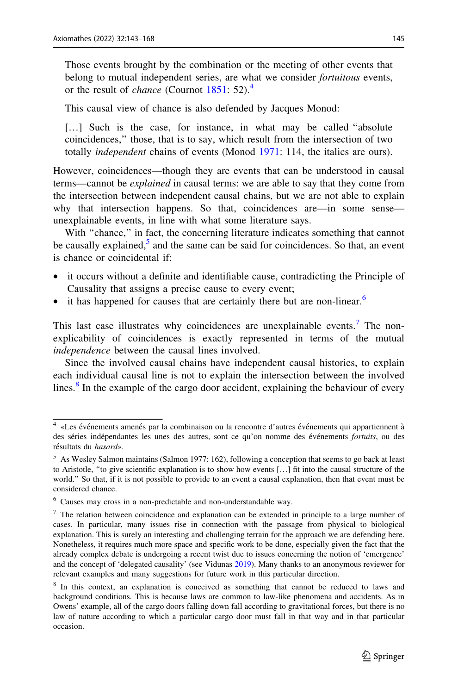Those events brought by the combination or the meeting of other events that belong to mutual independent series, are what we consider *fortuitous* events, or the result of *chance* (Cournot  $1851: 52$  $1851: 52$ ).<sup>4</sup>

This causal view of chance is also defended by Jacques Monod:

[...] Such is the case, for instance, in what may be called "absolute" coincidences,'' those, that is to say, which result from the intersection of two totally *independent* chains of events (Monod [1971](#page-24-0): 114, the italics are ours).

However, coincidences—though they are events that can be understood in causal terms—cannot be *explained* in causal terms: we are able to say that they come from the intersection between independent causal chains, but we are not able to explain why that intersection happens. So that, coincidences are—in some sense unexplainable events, in line with what some literature says.

With "chance," in fact, the concerning literature indicates something that cannot be causally explained, $5$  and the same can be said for coincidences. So that, an event is chance or coincidental if:

- it occurs without a definite and identifiable cause, contradicting the Principle of Causality that assigns a precise cause to every event;
- it has happened for causes that are certainly there but are non-linear.<sup>6</sup>

This last case illustrates why coincidences are unexplainable events.<sup>7</sup> The nonexplicability of coincidences is exactly represented in terms of the mutual independence between the causal lines involved.

Since the involved causal chains have independent causal histories, to explain each individual causal line is not to explain the intersection between the involved lines. $8$  In the example of the cargo door accident, explaining the behaviour of every

<sup>&</sup>lt;sup>4</sup> «Les événements amenés par la combinaison ou la rencontre d'autres événements qui appartiennent à des séries indépendantes les unes des autres, sont ce qu'on nomme des événements fortuits, ou des résultats du hasard».

<sup>5</sup> As Wesley Salmon maintains (Salmon 1977: 162), following a conception that seems to go back at least to Aristotle, ''to give scientific explanation is to show how events […] fit into the causal structure of the world.'' So that, if it is not possible to provide to an event a causal explanation, then that event must be considered chance.

<sup>6</sup> Causes may cross in a non-predictable and non-understandable way.

 $7$  The relation between coincidence and explanation can be extended in principle to a large number of cases. In particular, many issues rise in connection with the passage from physical to biological explanation. This is surely an interesting and challenging terrain for the approach we are defending here. Nonetheless, it requires much more space and specific work to be done, especially given the fact that the already complex debate is undergoing a recent twist due to issues concerning the notion of 'emergence' and the concept of 'delegated causality' (see Vidunas [2019](#page-24-0)). Many thanks to an anonymous reviewer for relevant examples and many suggestions for future work in this particular direction.

<sup>&</sup>lt;sup>8</sup> In this context, an explanation is conceived as something that cannot be reduced to laws and background conditions. This is because laws are common to law-like phenomena and accidents. As in Owens' example, all of the cargo doors falling down fall according to gravitational forces, but there is no law of nature according to which a particular cargo door must fall in that way and in that particular occasion.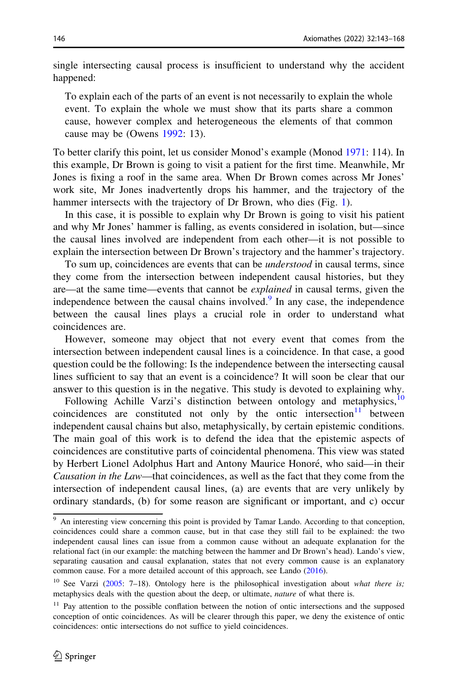single intersecting causal process is insufficient to understand why the accident happened:

To explain each of the parts of an event is not necessarily to explain the whole event. To explain the whole we must show that its parts share a common cause, however complex and heterogeneous the elements of that common cause may be (Owens [1992:](#page-24-0) 13).

To better clarify this point, let us consider Monod's example (Monod [1971](#page-24-0): 114). In this example, Dr Brown is going to visit a patient for the first time. Meanwhile, Mr Jones is fixing a roof in the same area. When Dr Brown comes across Mr Jones' work site, Mr Jones inadvertently drops his hammer, and the trajectory of the hammer intersects with the trajectory of Dr Brown, who dies (Fig. [1\)](#page-4-0).

In this case, it is possible to explain why Dr Brown is going to visit his patient and why Mr Jones' hammer is falling, as events considered in isolation, but—since the causal lines involved are independent from each other—it is not possible to explain the intersection between Dr Brown's trajectory and the hammer's trajectory.

To sum up, coincidences are events that can be understood in causal terms, since they come from the intersection between independent causal histories, but they are—at the same time—events that cannot be explained in causal terms, given the independence between the causal chains involved. $9$  In any case, the independence between the causal lines plays a crucial role in order to understand what coincidences are.

However, someone may object that not every event that comes from the intersection between independent causal lines is a coincidence. In that case, a good question could be the following: Is the independence between the intersecting causal lines sufficient to say that an event is a coincidence? It will soon be clear that our answer to this question is in the negative. This study is devoted to explaining why.

Following Achille Varzi's distinction between ontology and metaphysics,  $10$ coincidences are constituted not only by the ontic intersection $11$  between independent causal chains but also, metaphysically, by certain epistemic conditions. The main goal of this work is to defend the idea that the epistemic aspects of coincidences are constitutive parts of coincidental phenomena. This view was stated by Herbert Lionel Adolphus Hart and Antony Maurice Honoré, who said—in their Causation in the Law—that coincidences, as well as the fact that they come from the intersection of independent causal lines, (a) are events that are very unlikely by ordinary standards, (b) for some reason are significant or important, and c) occur

<sup>&</sup>lt;sup>9</sup> An interesting view concerning this point is provided by Tamar Lando. According to that conception, coincidences could share a common cause, but in that case they still fail to be explained: the two independent causal lines can issue from a common cause without an adequate explanation for the relational fact (in our example: the matching between the hammer and Dr Brown's head). Lando's view, separating causation and causal explanation, states that not every common cause is an explanatory common cause. For a more detailed account of this approach, see Lando [\(2016](#page-24-0)).

<sup>&</sup>lt;sup>10</sup> See Varzi [\(2005](#page-24-0): 7-18). Ontology here is the philosophical investigation about what there is; metaphysics deals with the question about the deep, or ultimate, nature of what there is.

<sup>&</sup>lt;sup>11</sup> Pay attention to the possible conflation between the notion of ontic intersections and the supposed conception of ontic coincidences. As will be clearer through this paper, we deny the existence of ontic coincidences: ontic intersections do not suffice to yield coincidences.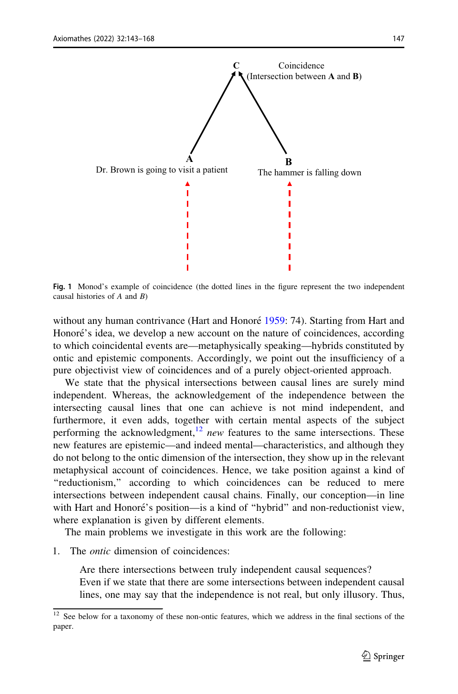<span id="page-4-0"></span>

Fig. 1 Monod's example of coincidence (the dotted lines in the figure represent the two independent causal histories of A and B)

without any human contrivance (Hart and Honoré [1959](#page-24-0): 74). Starting from Hart and Honoré's idea, we develop a new account on the nature of coincidences, according to which coincidental events are—metaphysically speaking—hybrids constituted by ontic and epistemic components. Accordingly, we point out the insufficiency of a pure objectivist view of coincidences and of a purely object-oriented approach.

We state that the physical intersections between causal lines are surely mind independent. Whereas, the acknowledgement of the independence between the intersecting causal lines that one can achieve is not mind independent, and furthermore, it even adds, together with certain mental aspects of the subject performing the acknowledgment, $12$  new features to the same intersections. These new features are epistemic—and indeed mental—characteristics, and although they do not belong to the ontic dimension of the intersection, they show up in the relevant metaphysical account of coincidences. Hence, we take position against a kind of ''reductionism,'' according to which coincidences can be reduced to mere intersections between independent causal chains. Finally, our conception—in line with Hart and Honoré's position—is a kind of "hybrid" and non-reductionist view, where explanation is given by different elements.

The main problems we investigate in this work are the following:

1. The ontic dimension of coincidences:

Are there intersections between truly independent causal sequences? Even if we state that there are some intersections between independent causal lines, one may say that the independence is not real, but only illusory. Thus,

 $12$  See below for a taxonomy of these non-ontic features, which we address in the final sections of the paper.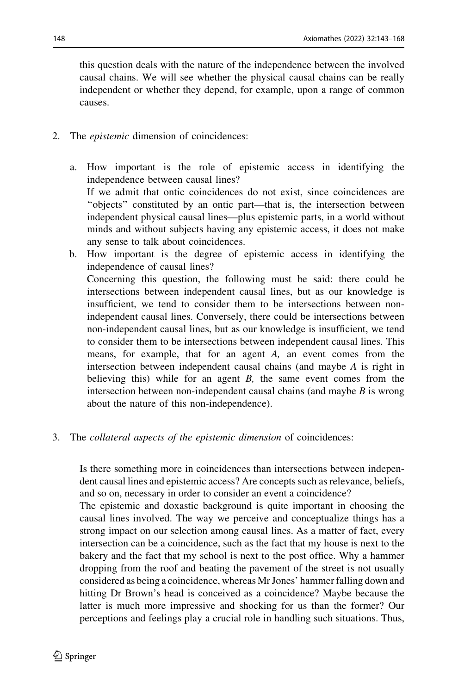this question deals with the nature of the independence between the involved causal chains. We will see whether the physical causal chains can be really independent or whether they depend, for example, upon a range of common causes.

- 2. The epistemic dimension of coincidences:
	- a. How important is the role of epistemic access in identifying the independence between causal lines? If we admit that ontic coincidences do not exist, since coincidences are ''objects'' constituted by an ontic part—that is, the intersection between independent physical causal lines—plus epistemic parts, in a world without minds and without subjects having any epistemic access, it does not make any sense to talk about coincidences.
	- b. How important is the degree of epistemic access in identifying the independence of causal lines? Concerning this question, the following must be said: there could be intersections between independent causal lines, but as our knowledge is insufficient, we tend to consider them to be intersections between nonindependent causal lines. Conversely, there could be intersections between non-independent causal lines, but as our knowledge is insufficient, we tend to consider them to be intersections between independent causal lines. This means, for example, that for an agent A, an event comes from the intersection between independent causal chains (and maybe A is right in believing this) while for an agent  $B$ , the same event comes from the intersection between non-independent causal chains (and maybe  $B$  is wrong about the nature of this non-independence).
- 3. The collateral aspects of the epistemic dimension of coincidences:

Is there something more in coincidences than intersections between independent causal lines and epistemic access? Are concepts such as relevance, beliefs, and so on, necessary in order to consider an event a coincidence?

The epistemic and doxastic background is quite important in choosing the causal lines involved. The way we perceive and conceptualize things has a strong impact on our selection among causal lines. As a matter of fact, every intersection can be a coincidence, such as the fact that my house is next to the bakery and the fact that my school is next to the post office. Why a hammer dropping from the roof and beating the pavement of the street is not usually considered as being a coincidence, whereas Mr Jones' hammer falling down and hitting Dr Brown's head is conceived as a coincidence? Maybe because the latter is much more impressive and shocking for us than the former? Our perceptions and feelings play a crucial role in handling such situations. Thus,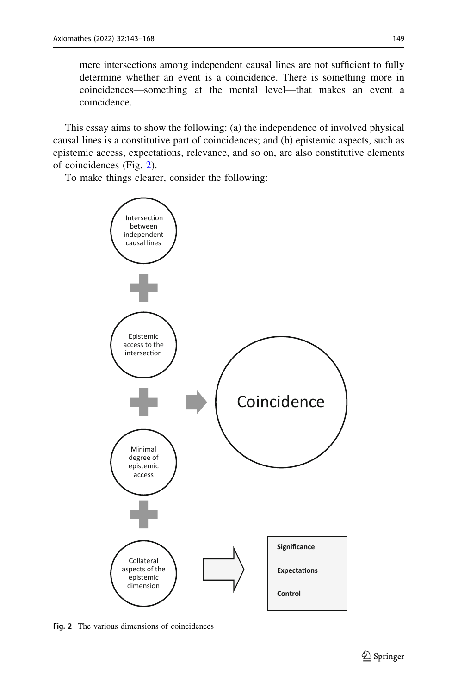This essay aims to show the following: (a) the independence of involved physical causal lines is a constitutive part of coincidences; and (b) epistemic aspects, such as epistemic access, expectations, relevance, and so on, are also constitutive elements of coincidences (Fig. 2).

To make things clearer, consider the following:



Fig. 2 The various dimensions of coincidences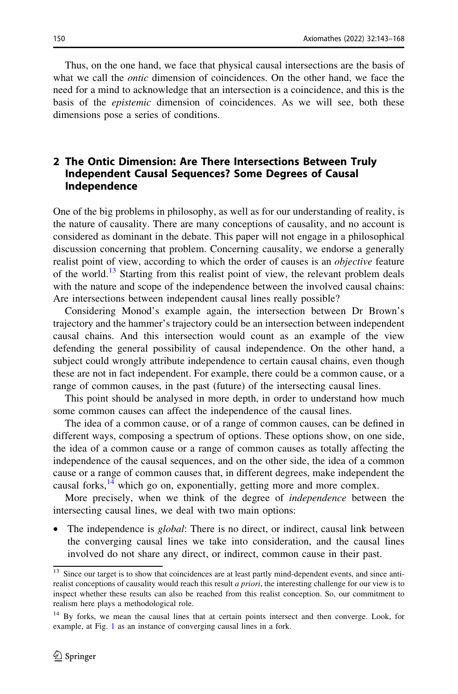Thus, on the one hand, we face that physical causal intersections are the basis of what we call the *ontic* dimension of coincidences. On the other hand, we face the need for a mind to acknowledge that an intersection is a coincidence, and this is the basis of the *epistemic* dimension of coincidences. As we will see, both these dimensions pose a series of conditions.

## 2 The Ontic Dimension: Are There Intersections Between Truly Independent Causal Sequences? Some Degrees of Causal Independence

One of the big problems in philosophy, as well as for our understanding of reality, is the nature of causality. There are many conceptions of causality, and no account is considered as dominant in the debate. This paper will not engage in a philosophical discussion concerning that problem. Concerning causality, we endorse a generally realist point of view, according to which the order of causes is an *objective* feature of the world.<sup>13</sup> Starting from this realist point of view, the relevant problem deals with the nature and scope of the independence between the involved causal chains: Are intersections between independent causal lines really possible?

Considering Monod's example again, the intersection between Dr Brown's trajectory and the hammer's trajectory could be an intersection between independent causal chains. And this intersection would count as an example of the view defending the general possibility of causal independence. On the other hand, a subject could wrongly attribute independence to certain causal chains, even though these are not in fact independent. For example, there could be a common cause, or a range of common causes, in the past (future) of the intersecting causal lines.

This point should be analysed in more depth, in order to understand how much some common causes can affect the independence of the causal lines.

The idea of a common cause, or of a range of common causes, can be defined in different ways, composing a spectrum of options. These options show, on one side, the idea of a common cause or a range of common causes as totally affecting the independence of the causal sequences, and on the other side, the idea of a common cause or a range of common causes that, in different degrees, make independent the causal forks, $14$  which go on, exponentially, getting more and more complex.

More precisely, when we think of the degree of *independence* between the intersecting causal lines, we deal with two main options:

The independence is *global*: There is no direct, or indirect, causal link between the converging causal lines we take into consideration, and the causal lines involved do not share any direct, or indirect, common cause in their past.

 $13$  Since our target is to show that coincidences are at least partly mind-dependent events, and since antirealist conceptions of causality would reach this result *a priori*, the interesting challenge for our view is to inspect whether these results can also be reached from this realist conception. So, our commitment to realism here plays a methodological role.

<sup>&</sup>lt;sup>14</sup> By forks, we mean the causal lines that at certain points intersect and then converge. Look, for example, at Fig. [1](#page-4-0) as an instance of converging causal lines in a fork.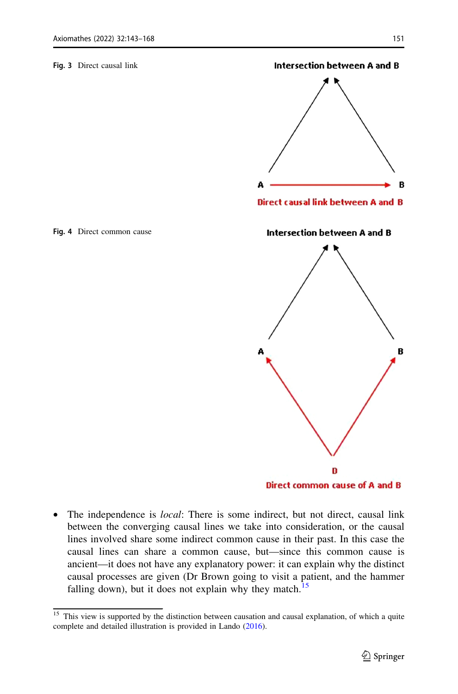<span id="page-8-0"></span>Fig. 3 Direct causal link

Fig. 4 Direct common cause



<sup>&</sup>lt;sup>15</sup> This view is supported by the distinction between causation and causal explanation, of which a quite complete and detailed illustration is provided in Lando ([2016\)](#page-24-0).



Direct common cause of A and B

 $\bigcirc$  Springer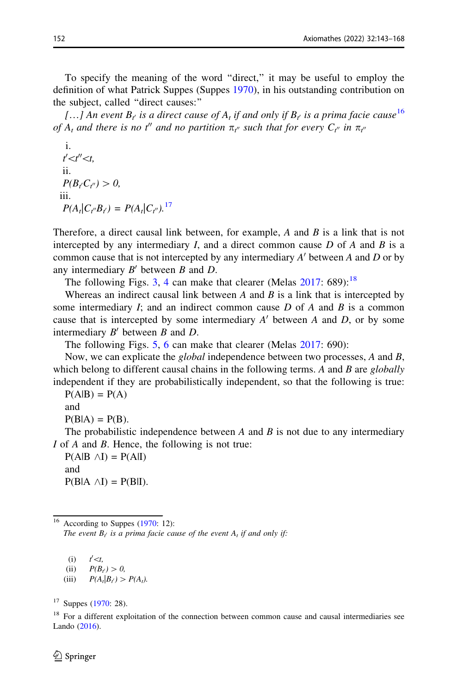To specify the meaning of the word ''direct,'' it may be useful to employ the definition of what Patrick Suppes (Suppes [1970](#page-24-0)), in his outstanding contribution on the subject, called ''direct causes:''

[...] An event  $B_{t'}$  is a direct cause of  $A_t$  if and only if  $B_{t'}$  is a prima facie cause  $^{16}$ of  $A_t$  and there is no t<sup>"</sup> and no partition  $\pi_{t}$ " such that for every  $C_{t}$ " in  $\pi_{t}$ "

i.  $t' < t'' < t$ , ii.  $P(B_{t'}C_{t''}) > 0,$ iii.  $P(A_t|C_{t''}B_{t'}) = P(A_t|C_{t''})$ .<sup>17</sup>

Therefore, a direct causal link between, for example,  $A$  and  $B$  is a link that is not intercepted by any intermediary  $I$ , and a direct common cause  $D$  of  $A$  and  $B$  is a common cause that is not intercepted by any intermediary  $A'$  between  $A$  and  $D$  or by any intermediary  $B'$  between B and D.

The following Figs. [3](#page-8-0), [4](#page-8-0) can make that clearer (Melas  $2017:689$  $2017:689$ ):<sup>18</sup>

Whereas an indirect causal link between  $A$  and  $B$  is a link that is intercepted by some intermediary  $I$ ; and an indirect common cause  $D$  of  $A$  and  $B$  is a common cause that is intercepted by some intermediary  $A'$  between  $A$  and  $D$ , or by some intermediary  $B'$  between B and D.

The following Figs. [5](#page-10-0), [6](#page-10-0) can make that clearer (Melas [2017:](#page-24-0) 690):

Now, we can explicate the global independence between two processes, A and B, which belong to different causal chains in the following terms. A and  $B$  are globally independent if they are probabilistically independent, so that the following is true:

 $P(A|B) = P(A)$ and  $P(B|A) = P(B)$ .

The probabilistic independence between  $A$  and  $B$  is not due to any intermediary I of A and B. Hence, the following is not true:

 $P(A|B \land I) = P(A|I)$ and  $P(B|A \land I) = P(B|I).$ 

<sup>17</sup> Suppes [\(1970](#page-24-0): 28).

 $\frac{16}{16}$  According to Suppes [\(1970](#page-24-0): 12): The event  $B_{t'}$  is a prima facie cause of the event  $A_t$  if and only if:

 $(i)$  $\leq t$ , (ii)  $P(B_{t'}) > 0$ , (iii)  $P(A_t|B_{t'}) > P(A_t)$ .

<sup>&</sup>lt;sup>18</sup> For a different exploitation of the connection between common cause and causal intermediaries see Lando ([2016\)](#page-24-0).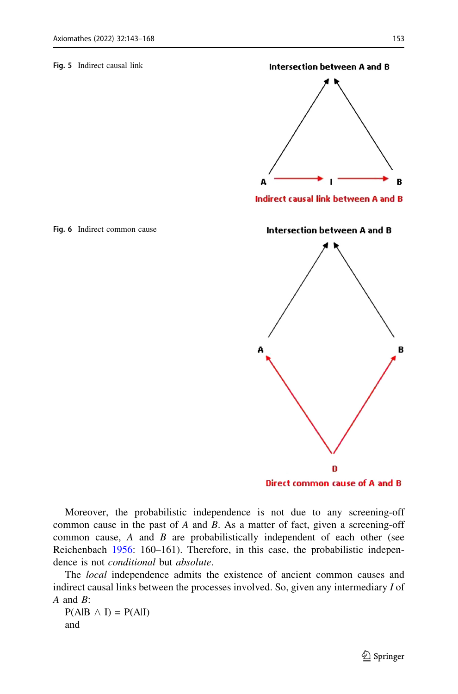<span id="page-10-0"></span>Fig. 5 Indirect causal link





Direct common cause of A and B

Moreover, the probabilistic independence is not due to any screening-off common cause in the past of A and B. As a matter of fact, given a screening-off common cause,  $A$  and  $B$  are probabilistically independent of each other (see Reichenbach [1956](#page-24-0): 160–161). Therefore, in this case, the probabilistic independence is not conditional but absolute.

The local independence admits the existence of ancient common causes and indirect causal links between the processes involved. So, given any intermediary I of A and B:

 $P(A|B \wedge I) = P(A|I)$ and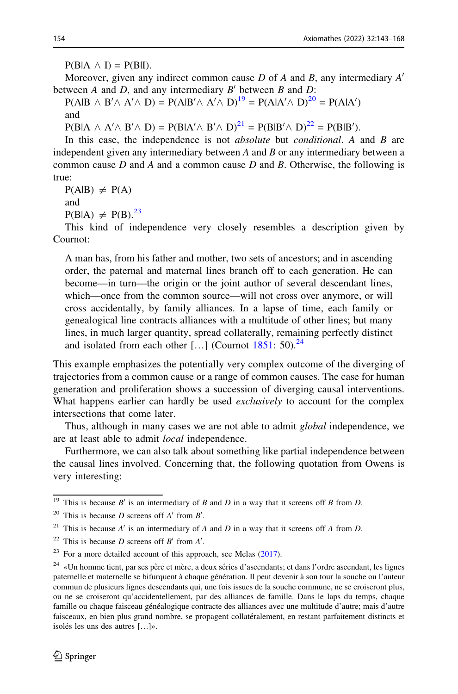$P(B|A \wedge I) = P(B|I).$ 

Moreover, given any indirect common cause D of A and B, any intermediary  $A<sup>'</sup>$ between A and D, and any intermediary  $B'$  between B and D:

 $P(A|B \wedge B' \wedge A' \wedge D) = P(A|B' \wedge A' \wedge D)^{19} = P(A|A' \wedge D)^{20} = P(A|A')$ and

 $P(B|A \wedge A' \wedge B' \wedge D) = P(B|A' \wedge B' \wedge D)^{21} = P(B|B' \wedge D)^{22} = P(B|B').$ 

In this case, the independence is not *absolute* but *conditional*. A and  $B$  are independent given any intermediary between  $\vec{A}$  and  $\vec{B}$  or any intermediary between a common cause  $D$  and  $A$  and a common cause  $D$  and  $B$ . Otherwise, the following is true:

 $P(A|B) \neq P(A)$ and

 $P(B|A) \neq P(B).^{23}$ 

This kind of independence very closely resembles a description given by Cournot:

A man has, from his father and mother, two sets of ancestors; and in ascending order, the paternal and maternal lines branch off to each generation. He can become—in turn—the origin or the joint author of several descendant lines, which—once from the common source—will not cross over anymore, or will cross accidentally, by family alliances. In a lapse of time, each family or genealogical line contracts alliances with a multitude of other lines; but many lines, in much larger quantity, spread collaterally, remaining perfectly distinct and isolated from each other  $[...]$  (Cournot [1851](#page-24-0): 50).<sup>24</sup>

This example emphasizes the potentially very complex outcome of the diverging of trajectories from a common cause or a range of common causes. The case for human generation and proliferation shows a succession of diverging causal interventions. What happens earlier can hardly be used exclusively to account for the complex intersections that come later.

Thus, although in many cases we are not able to admit *global* independence, we are at least able to admit local independence.

Furthermore, we can also talk about something like partial independence between the causal lines involved. Concerning that, the following quotation from Owens is very interesting:

<sup>&</sup>lt;sup>19</sup> This is because  $B'$  is an intermediary of B and D in a way that it screens off B from D.

<sup>&</sup>lt;sup>20</sup> This is because *D* screens off  $A'$  from  $B'$ .

<sup>&</sup>lt;sup>21</sup> This is because A' is an intermediary of A and D in a way that it screens off A from D.

<sup>&</sup>lt;sup>22</sup> This is because *D* screens off *B'* from  $A'$ .

 $23$  For a more detailed account of this approach, see Melas [\(2017](#page-24-0)).

<sup>&</sup>lt;sup>24</sup> «Un homme tient, par ses père et mère, a deux séries d'ascendants; et dans l'ordre ascendant, les lignes paternelle et maternelle se bifurquent à chaque génération. Il peut devenir à son tour la souche ou l'auteur commun de plusieurs lignes descendants qui, une fois issues de la souche commune, ne se croiseront plus, ou ne se croiseront qu'accidentellement, par des alliances de famille. Dans le laps du temps, chaque famille ou chaque faisceau généalogique contracte des alliances avec une multitude d'autre; mais d'autre faisceaux, en bien plus grand nombre, se propagent collatéralement, en restant parfaitement distincts et isolés les uns des autres [...]».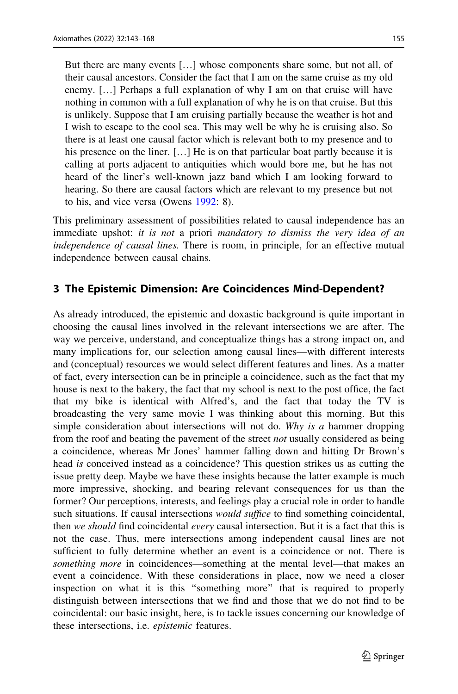But there are many events […] whose components share some, but not all, of their causal ancestors. Consider the fact that I am on the same cruise as my old enemy. […] Perhaps a full explanation of why I am on that cruise will have nothing in common with a full explanation of why he is on that cruise. But this is unlikely. Suppose that I am cruising partially because the weather is hot and I wish to escape to the cool sea. This may well be why he is cruising also. So there is at least one causal factor which is relevant both to my presence and to his presence on the liner. [...] He is on that particular boat partly because it is calling at ports adjacent to antiquities which would bore me, but he has not heard of the liner's well-known jazz band which I am looking forward to hearing. So there are causal factors which are relevant to my presence but not to his, and vice versa (Owens [1992](#page-24-0): 8).

This preliminary assessment of possibilities related to causal independence has an immediate upshot: it is not a priori mandatory to dismiss the very idea of an independence of causal lines. There is room, in principle, for an effective mutual independence between causal chains.

#### 3 The Epistemic Dimension: Are Coincidences Mind-Dependent?

As already introduced, the epistemic and doxastic background is quite important in choosing the causal lines involved in the relevant intersections we are after. The way we perceive, understand, and conceptualize things has a strong impact on, and many implications for, our selection among causal lines—with different interests and (conceptual) resources we would select different features and lines. As a matter of fact, every intersection can be in principle a coincidence, such as the fact that my house is next to the bakery, the fact that my school is next to the post office, the fact that my bike is identical with Alfred's, and the fact that today the TV is broadcasting the very same movie I was thinking about this morning. But this simple consideration about intersections will not do. Why is a hammer dropping from the roof and beating the pavement of the street *not* usually considered as being a coincidence, whereas Mr Jones' hammer falling down and hitting Dr Brown's head is conceived instead as a coincidence? This question strikes us as cutting the issue pretty deep. Maybe we have these insights because the latter example is much more impressive, shocking, and bearing relevant consequences for us than the former? Our perceptions, interests, and feelings play a crucial role in order to handle such situations. If causal intersections *would suffice* to find something coincidental, then we should find coincidental every causal intersection. But it is a fact that this is not the case. Thus, mere intersections among independent causal lines are not sufficient to fully determine whether an event is a coincidence or not. There is something more in coincidences—something at the mental level—that makes an event a coincidence. With these considerations in place, now we need a closer inspection on what it is this ''something more'' that is required to properly distinguish between intersections that we find and those that we do not find to be coincidental: our basic insight, here, is to tackle issues concerning our knowledge of these intersections, i.e. epistemic features.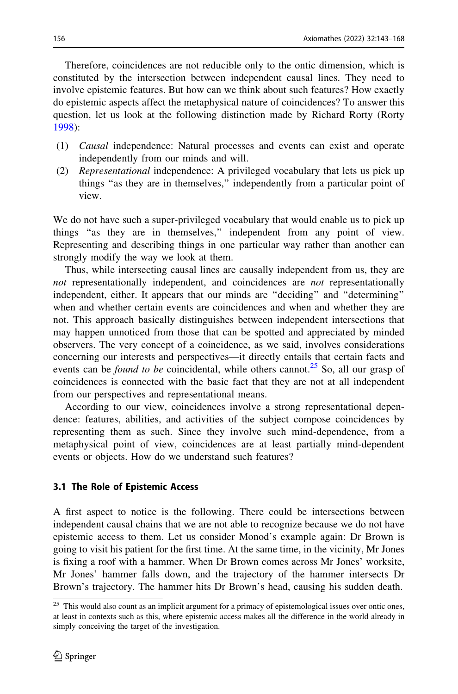Therefore, coincidences are not reducible only to the ontic dimension, which is constituted by the intersection between independent causal lines. They need to involve epistemic features. But how can we think about such features? How exactly do epistemic aspects affect the metaphysical nature of coincidences? To answer this question, let us look at the following distinction made by Richard Rorty (Rorty [1998\)](#page-24-0):

- (1) Causal independence: Natural processes and events can exist and operate independently from our minds and will.
- (2) Representational independence: A privileged vocabulary that lets us pick up things ''as they are in themselves,'' independently from a particular point of view.

We do not have such a super-privileged vocabulary that would enable us to pick up things ''as they are in themselves,'' independent from any point of view. Representing and describing things in one particular way rather than another can strongly modify the way we look at them.

Thus, while intersecting causal lines are causally independent from us, they are not representationally independent, and coincidences are *not* representationally independent, either. It appears that our minds are ''deciding'' and ''determining'' when and whether certain events are coincidences and when and whether they are not. This approach basically distinguishes between independent intersections that may happen unnoticed from those that can be spotted and appreciated by minded observers. The very concept of a coincidence, as we said, involves considerations concerning our interests and perspectives—it directly entails that certain facts and events can be *found to be* coincidental, while others cannot.<sup>25</sup> So, all our grasp of coincidences is connected with the basic fact that they are not at all independent from our perspectives and representational means.

According to our view, coincidences involve a strong representational dependence: features, abilities, and activities of the subject compose coincidences by representing them as such. Since they involve such mind-dependence, from a metaphysical point of view, coincidences are at least partially mind-dependent events or objects. How do we understand such features?

#### 3.1 The Role of Epistemic Access

A first aspect to notice is the following. There could be intersections between independent causal chains that we are not able to recognize because we do not have epistemic access to them. Let us consider Monod's example again: Dr Brown is going to visit his patient for the first time. At the same time, in the vicinity, Mr Jones is fixing a roof with a hammer. When Dr Brown comes across Mr Jones' worksite, Mr Jones' hammer falls down, and the trajectory of the hammer intersects Dr Brown's trajectory. The hammer hits Dr Brown's head, causing his sudden death.

 $25$  This would also count as an implicit argument for a primacy of epistemological issues over ontic ones, at least in contexts such as this, where epistemic access makes all the difference in the world already in simply conceiving the target of the investigation.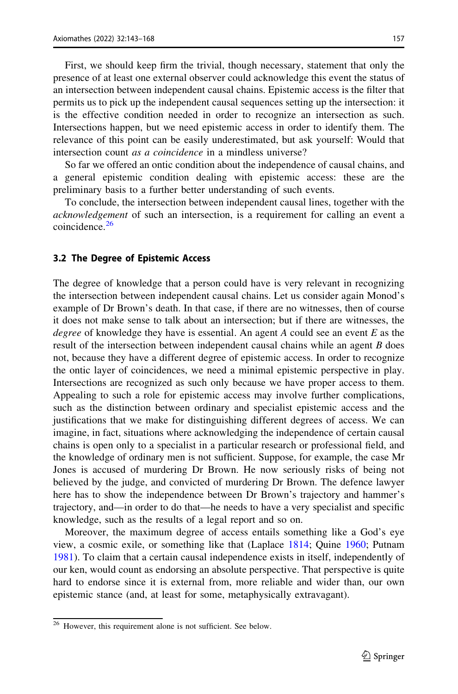First, we should keep firm the trivial, though necessary, statement that only the presence of at least one external observer could acknowledge this event the status of an intersection between independent causal chains. Epistemic access is the filter that permits us to pick up the independent causal sequences setting up the intersection: it is the effective condition needed in order to recognize an intersection as such. Intersections happen, but we need epistemic access in order to identify them. The relevance of this point can be easily underestimated, but ask yourself: Would that intersection count *as a coincidence* in a mindless universe?

So far we offered an ontic condition about the independence of causal chains, and a general epistemic condition dealing with epistemic access: these are the preliminary basis to a further better understanding of such events.

To conclude, the intersection between independent causal lines, together with the acknowledgement of such an intersection, is a requirement for calling an event a coincidence.<sup>26</sup>

#### 3.2 The Degree of Epistemic Access

The degree of knowledge that a person could have is very relevant in recognizing the intersection between independent causal chains. Let us consider again Monod's example of Dr Brown's death. In that case, if there are no witnesses, then of course it does not make sense to talk about an intersection; but if there are witnesses, the degree of knowledge they have is essential. An agent  $A$  could see an event  $E$  as the result of the intersection between independent causal chains while an agent B does not, because they have a different degree of epistemic access. In order to recognize the ontic layer of coincidences, we need a minimal epistemic perspective in play. Intersections are recognized as such only because we have proper access to them. Appealing to such a role for epistemic access may involve further complications, such as the distinction between ordinary and specialist epistemic access and the justifications that we make for distinguishing different degrees of access. We can imagine, in fact, situations where acknowledging the independence of certain causal chains is open only to a specialist in a particular research or professional field, and the knowledge of ordinary men is not sufficient. Suppose, for example, the case Mr Jones is accused of murdering Dr Brown. He now seriously risks of being not believed by the judge, and convicted of murdering Dr Brown. The defence lawyer here has to show the independence between Dr Brown's trajectory and hammer's trajectory, and—in order to do that—he needs to have a very specialist and specific knowledge, such as the results of a legal report and so on.

Moreover, the maximum degree of access entails something like a God's eye view, a cosmic exile, or something like that (Laplace [1814;](#page-24-0) Quine [1960](#page-24-0); Putnam [1981\)](#page-24-0). To claim that a certain causal independence exists in itself, independently of our ken, would count as endorsing an absolute perspective. That perspective is quite hard to endorse since it is external from, more reliable and wider than, our own epistemic stance (and, at least for some, metaphysically extravagant).

<sup>&</sup>lt;sup>26</sup> However, this requirement alone is not sufficient. See below.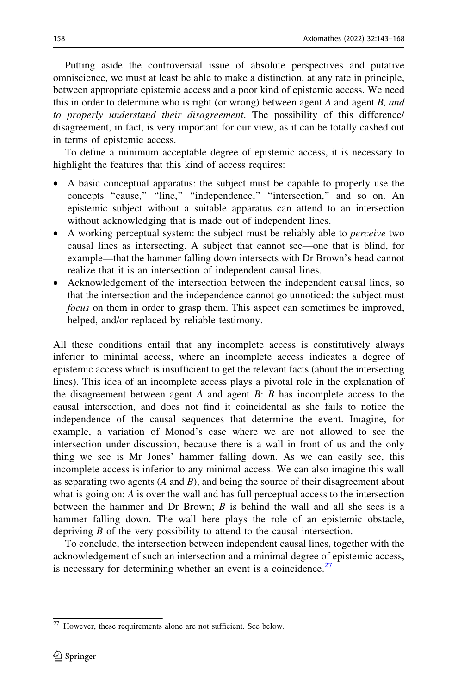Putting aside the controversial issue of absolute perspectives and putative omniscience, we must at least be able to make a distinction, at any rate in principle, between appropriate epistemic access and a poor kind of epistemic access. We need this in order to determine who is right (or wrong) between agent  $A$  and agent  $B$ , and to properly understand their disagreement. The possibility of this difference/ disagreement, in fact, is very important for our view, as it can be totally cashed out in terms of epistemic access.

To define a minimum acceptable degree of epistemic access, it is necessary to highlight the features that this kind of access requires:

- A basic conceptual apparatus: the subject must be capable to properly use the concepts "cause," "line," "independence," "intersection," and so on. An epistemic subject without a suitable apparatus can attend to an intersection without acknowledging that is made out of independent lines.
- A working perceptual system: the subject must be reliably able to *perceive* two causal lines as intersecting. A subject that cannot see—one that is blind, for example—that the hammer falling down intersects with Dr Brown's head cannot realize that it is an intersection of independent causal lines.
- Acknowledgement of the intersection between the independent causal lines, so that the intersection and the independence cannot go unnoticed: the subject must focus on them in order to grasp them. This aspect can sometimes be improved, helped, and/or replaced by reliable testimony.

All these conditions entail that any incomplete access is constitutively always inferior to minimal access, where an incomplete access indicates a degree of epistemic access which is insufficient to get the relevant facts (about the intersecting lines). This idea of an incomplete access plays a pivotal role in the explanation of the disagreement between agent A and agent  $B: B$  has incomplete access to the causal intersection, and does not find it coincidental as she fails to notice the independence of the causal sequences that determine the event. Imagine, for example, a variation of Monod's case where we are not allowed to see the intersection under discussion, because there is a wall in front of us and the only thing we see is Mr Jones' hammer falling down. As we can easily see, this incomplete access is inferior to any minimal access. We can also imagine this wall as separating two agents  $(A \text{ and } B)$ , and being the source of their disagreement about what is going on: A is over the wall and has full perceptual access to the intersection between the hammer and Dr Brown;  $B$  is behind the wall and all she sees is a hammer falling down. The wall here plays the role of an epistemic obstacle, depriving  $B$  of the very possibility to attend to the causal intersection.

To conclude, the intersection between independent causal lines, together with the acknowledgement of such an intersection and a minimal degree of epistemic access, is necessary for determining whether an event is a coincidence.<sup>27</sup>

 $27$  However, these requirements alone are not sufficient. See below.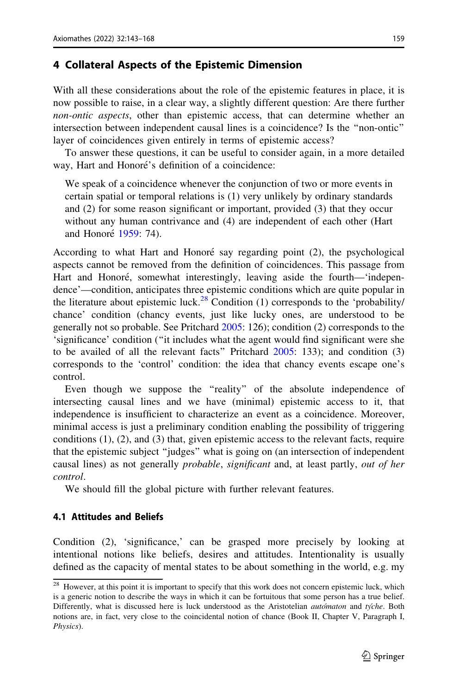### 4 Collateral Aspects of the Epistemic Dimension

With all these considerations about the role of the epistemic features in place, it is now possible to raise, in a clear way, a slightly different question: Are there further non-ontic aspects, other than epistemic access, that can determine whether an intersection between independent causal lines is a coincidence? Is the ''non-ontic'' layer of coincidences given entirely in terms of epistemic access?

To answer these questions, it can be useful to consider again, in a more detailed way, Hart and Honoré's definition of a coincidence:

We speak of a coincidence whenever the conjunction of two or more events in certain spatial or temporal relations is (1) very unlikely by ordinary standards and (2) for some reason significant or important, provided (3) that they occur without any human contrivance and (4) are independent of each other (Hart and Honoré [1959](#page-24-0): 74).

According to what Hart and Honoré say regarding point  $(2)$ , the psychological aspects cannot be removed from the definition of coincidences. This passage from Hart and Honoré, somewhat interestingly, leaving aside the fourth—'independence'—condition, anticipates three epistemic conditions which are quite popular in the literature about epistemic luck.<sup>28</sup> Condition (1) corresponds to the 'probability/ chance' condition (chancy events, just like lucky ones, are understood to be generally not so probable. See Pritchard [2005:](#page-24-0) 126); condition (2) corresponds to the 'significance' condition (''it includes what the agent would find significant were she to be availed of all the relevant facts" Pritchard  $2005$ : 133); and condition (3) corresponds to the 'control' condition: the idea that chancy events escape one's control.

Even though we suppose the ''reality'' of the absolute independence of intersecting causal lines and we have (minimal) epistemic access to it, that independence is insufficient to characterize an event as a coincidence. Moreover, minimal access is just a preliminary condition enabling the possibility of triggering conditions (1), (2), and (3) that, given epistemic access to the relevant facts, require that the epistemic subject ''judges'' what is going on (an intersection of independent causal lines) as not generally probable, significant and, at least partly, out of her control.

We should fill the global picture with further relevant features.

#### 4.1 Attitudes and Beliefs

Condition (2), 'significance,' can be grasped more precisely by looking at intentional notions like beliefs, desires and attitudes. Intentionality is usually defined as the capacity of mental states to be about something in the world, e.g. my

<sup>&</sup>lt;sup>28</sup> However, at this point it is important to specify that this work does not concern epistemic luck, which is a generic notion to describe the ways in which it can be fortuitous that some person has a true belief. Differently, what is discussed here is luck understood as the Aristotelian *autómaton* and tyche. Both notions are, in fact, very close to the coincidental notion of chance (Book II, Chapter V, Paragraph I, Physics).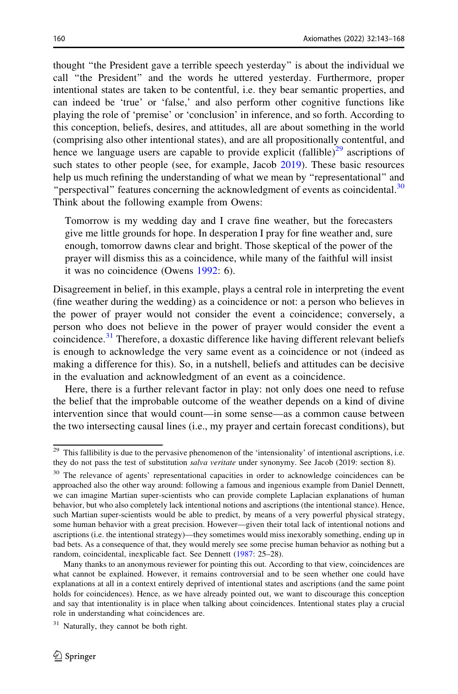thought ''the President gave a terrible speech yesterday'' is about the individual we call ''the President'' and the words he uttered yesterday. Furthermore, proper intentional states are taken to be contentful, i.e. they bear semantic properties, and can indeed be 'true' or 'false,' and also perform other cognitive functions like playing the role of 'premise' or 'conclusion' in inference, and so forth. According to this conception, beliefs, desires, and attitudes, all are about something in the world (comprising also other intentional states), and are all propositionally contentful, and hence we language users are capable to provide explicit (fallible)<sup>29</sup> ascriptions of such states to other people (see, for example, Jacob [2019](#page-24-0)). These basic resources help us much refining the understanding of what we mean by "representational" and "perspectival" features concerning the acknowledgment of events as coincidental. $30$ Think about the following example from Owens:

Tomorrow is my wedding day and I crave fine weather, but the forecasters give me little grounds for hope. In desperation I pray for fine weather and, sure enough, tomorrow dawns clear and bright. Those skeptical of the power of the prayer will dismiss this as a coincidence, while many of the faithful will insist it was no coincidence (Owens [1992:](#page-24-0) 6).

Disagreement in belief, in this example, plays a central role in interpreting the event (fine weather during the wedding) as a coincidence or not: a person who believes in the power of prayer would not consider the event a coincidence; conversely, a person who does not believe in the power of prayer would consider the event a coincidence. $31$  Therefore, a doxastic difference like having different relevant beliefs is enough to acknowledge the very same event as a coincidence or not (indeed as making a difference for this). So, in a nutshell, beliefs and attitudes can be decisive in the evaluation and acknowledgment of an event as a coincidence.

Here, there is a further relevant factor in play: not only does one need to refuse the belief that the improbable outcome of the weather depends on a kind of divine intervention since that would count—in some sense—as a common cause between the two intersecting causal lines (i.e., my prayer and certain forecast conditions), but

<sup>&</sup>lt;sup>29</sup> This fallibility is due to the pervasive phenomenon of the 'intensionality' of intentional ascriptions, i.e. they do not pass the test of substitution *salva veritate* under synonymy. See Jacob (2019: section 8).

<sup>&</sup>lt;sup>30</sup> The relevance of agents' representational capacities in order to acknowledge coincidences can be approached also the other way around: following a famous and ingenious example from Daniel Dennett, we can imagine Martian super-scientists who can provide complete Laplacian explanations of human behavior, but who also completely lack intentional notions and ascriptions (the intentional stance). Hence, such Martian super-scientists would be able to predict, by means of a very powerful physical strategy, some human behavior with a great precision. However—given their total lack of intentional notions and ascriptions (i.e. the intentional strategy)—they sometimes would miss inexorably something, ending up in bad bets. As a consequence of that, they would merely see some precise human behavior as nothing but a random, coincidental, inexplicable fact. See Dennett ([1987:](#page-24-0) 25–28).

Many thanks to an anonymous reviewer for pointing this out. According to that view, coincidences are what cannot be explained. However, it remains controversial and to be seen whether one could have explanations at all in a context entirely deprived of intentional states and ascriptions (and the same point holds for coincidences). Hence, as we have already pointed out, we want to discourage this conception and say that intentionality is in place when talking about coincidences. Intentional states play a crucial role in understanding what coincidences are.

<sup>&</sup>lt;sup>31</sup> Naturally, they cannot be both right.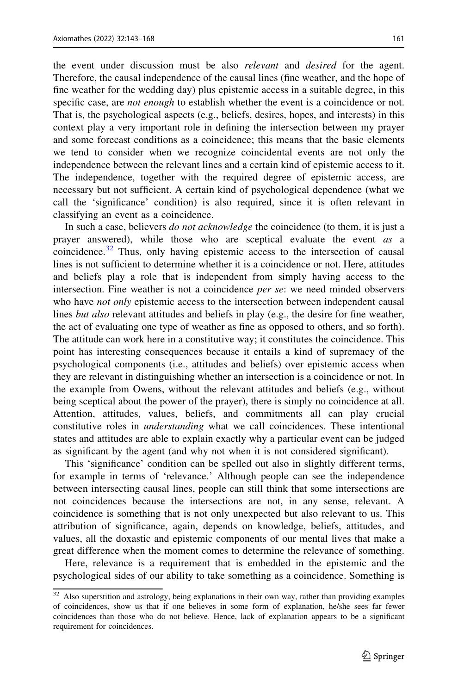the event under discussion must be also *relevant* and *desired* for the agent. Therefore, the causal independence of the causal lines (fine weather, and the hope of fine weather for the wedding day) plus epistemic access in a suitable degree, in this specific case, are *not enough* to establish whether the event is a coincidence or not. That is, the psychological aspects (e.g., beliefs, desires, hopes, and interests) in this context play a very important role in defining the intersection between my prayer and some forecast conditions as a coincidence; this means that the basic elements we tend to consider when we recognize coincidental events are not only the independence between the relevant lines and a certain kind of epistemic access to it. The independence, together with the required degree of epistemic access, are necessary but not sufficient. A certain kind of psychological dependence (what we call the 'significance' condition) is also required, since it is often relevant in classifying an event as a coincidence.

In such a case, believers do not acknowledge the coincidence (to them, it is just a prayer answered), while those who are sceptical evaluate the event as a coincidence. $32$  Thus, only having epistemic access to the intersection of causal lines is not sufficient to determine whether it is a coincidence or not. Here, attitudes and beliefs play a role that is independent from simply having access to the intersection. Fine weather is not a coincidence per se: we need minded observers who have *not only* epistemic access to the intersection between independent causal lines *but also* relevant attitudes and beliefs in play (e.g., the desire for fine weather, the act of evaluating one type of weather as fine as opposed to others, and so forth). The attitude can work here in a constitutive way; it constitutes the coincidence. This point has interesting consequences because it entails a kind of supremacy of the psychological components (i.e., attitudes and beliefs) over epistemic access when they are relevant in distinguishing whether an intersection is a coincidence or not. In the example from Owens, without the relevant attitudes and beliefs (e.g., without being sceptical about the power of the prayer), there is simply no coincidence at all. Attention, attitudes, values, beliefs, and commitments all can play crucial constitutive roles in understanding what we call coincidences. These intentional states and attitudes are able to explain exactly why a particular event can be judged as significant by the agent (and why not when it is not considered significant).

This 'significance' condition can be spelled out also in slightly different terms, for example in terms of 'relevance.' Although people can see the independence between intersecting causal lines, people can still think that some intersections are not coincidences because the intersections are not, in any sense, relevant. A coincidence is something that is not only unexpected but also relevant to us. This attribution of significance, again, depends on knowledge, beliefs, attitudes, and values, all the doxastic and epistemic components of our mental lives that make a great difference when the moment comes to determine the relevance of something.

Here, relevance is a requirement that is embedded in the epistemic and the psychological sides of our ability to take something as a coincidence. Something is

Also superstition and astrology, being explanations in their own way, rather than providing examples of coincidences, show us that if one believes in some form of explanation, he/she sees far fewer coincidences than those who do not believe. Hence, lack of explanation appears to be a significant requirement for coincidences.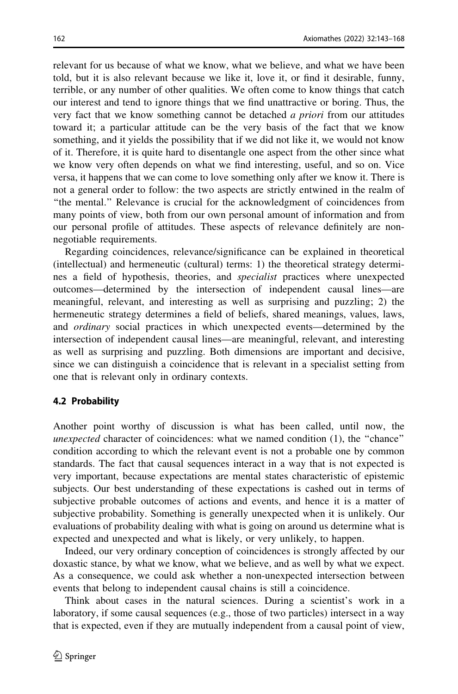relevant for us because of what we know, what we believe, and what we have been told, but it is also relevant because we like it, love it, or find it desirable, funny, terrible, or any number of other qualities. We often come to know things that catch our interest and tend to ignore things that we find unattractive or boring. Thus, the very fact that we know something cannot be detached a priori from our attitudes toward it; a particular attitude can be the very basis of the fact that we know something, and it yields the possibility that if we did not like it, we would not know of it. Therefore, it is quite hard to disentangle one aspect from the other since what we know very often depends on what we find interesting, useful, and so on. Vice versa, it happens that we can come to love something only after we know it. There is not a general order to follow: the two aspects are strictly entwined in the realm of ''the mental.'' Relevance is crucial for the acknowledgment of coincidences from many points of view, both from our own personal amount of information and from our personal profile of attitudes. These aspects of relevance definitely are nonnegotiable requirements.

Regarding coincidences, relevance/significance can be explained in theoretical (intellectual) and hermeneutic (cultural) terms: 1) the theoretical strategy determines a field of hypothesis, theories, and specialist practices where unexpected outcomes—determined by the intersection of independent causal lines—are meaningful, relevant, and interesting as well as surprising and puzzling; 2) the hermeneutic strategy determines a field of beliefs, shared meanings, values, laws, and ordinary social practices in which unexpected events—determined by the intersection of independent causal lines—are meaningful, relevant, and interesting as well as surprising and puzzling. Both dimensions are important and decisive, since we can distinguish a coincidence that is relevant in a specialist setting from one that is relevant only in ordinary contexts.

#### 4.2 Probability

Another point worthy of discussion is what has been called, until now, the unexpected character of coincidences: what we named condition (1), the ''chance'' condition according to which the relevant event is not a probable one by common standards. The fact that causal sequences interact in a way that is not expected is very important, because expectations are mental states characteristic of epistemic subjects. Our best understanding of these expectations is cashed out in terms of subjective probable outcomes of actions and events, and hence it is a matter of subjective probability. Something is generally unexpected when it is unlikely. Our evaluations of probability dealing with what is going on around us determine what is expected and unexpected and what is likely, or very unlikely, to happen.

Indeed, our very ordinary conception of coincidences is strongly affected by our doxastic stance, by what we know, what we believe, and as well by what we expect. As a consequence, we could ask whether a non-unexpected intersection between events that belong to independent causal chains is still a coincidence.

Think about cases in the natural sciences. During a scientist's work in a laboratory, if some causal sequences (e.g., those of two particles) intersect in a way that is expected, even if they are mutually independent from a causal point of view,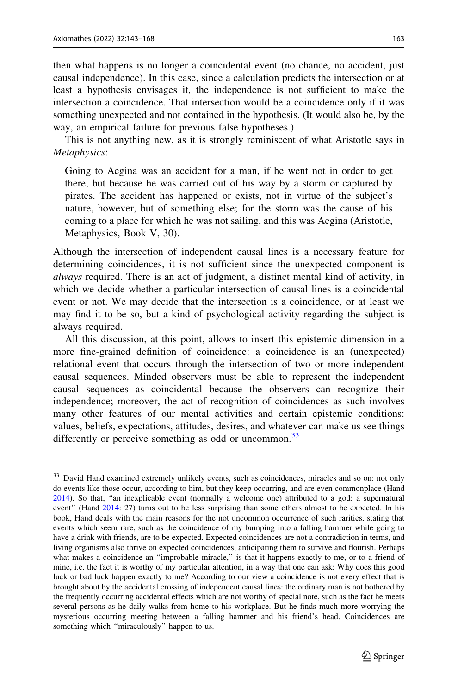then what happens is no longer a coincidental event (no chance, no accident, just causal independence). In this case, since a calculation predicts the intersection or at least a hypothesis envisages it, the independence is not sufficient to make the intersection a coincidence. That intersection would be a coincidence only if it was something unexpected and not contained in the hypothesis. (It would also be, by the way, an empirical failure for previous false hypotheses.)

This is not anything new, as it is strongly reminiscent of what Aristotle says in Metaphysics:

Going to Aegina was an accident for a man, if he went not in order to get there, but because he was carried out of his way by a storm or captured by pirates. The accident has happened or exists, not in virtue of the subject's nature, however, but of something else; for the storm was the cause of his coming to a place for which he was not sailing, and this was Aegina (Aristotle, Metaphysics, Book V, 30).

Although the intersection of independent causal lines is a necessary feature for determining coincidences, it is not sufficient since the unexpected component is always required. There is an act of judgment, a distinct mental kind of activity, in which we decide whether a particular intersection of causal lines is a coincidental event or not. We may decide that the intersection is a coincidence, or at least we may find it to be so, but a kind of psychological activity regarding the subject is always required.

All this discussion, at this point, allows to insert this epistemic dimension in a more fine-grained definition of coincidence: a coincidence is an (unexpected) relational event that occurs through the intersection of two or more independent causal sequences. Minded observers must be able to represent the independent causal sequences as coincidental because the observers can recognize their independence; moreover, the act of recognition of coincidences as such involves many other features of our mental activities and certain epistemic conditions: values, beliefs, expectations, attitudes, desires, and whatever can make us see things differently or perceive something as odd or uncommon.<sup>33</sup>

<sup>&</sup>lt;sup>33</sup> David Hand examined extremely unlikely events, such as coincidences, miracles and so on: not only do events like those occur, according to him, but they keep occurring, and are even commonplace (Hand [2014\)](#page-24-0). So that, ''an inexplicable event (normally a welcome one) attributed to a god: a supernatural event" (Hand [2014](#page-24-0): 27) turns out to be less surprising than some others almost to be expected. In his book, Hand deals with the main reasons for the not uncommon occurrence of such rarities, stating that events which seem rare, such as the coincidence of my bumping into a falling hammer while going to have a drink with friends, are to be expected. Expected coincidences are not a contradiction in terms, and living organisms also thrive on expected coincidences, anticipating them to survive and flourish. Perhaps what makes a coincidence an "improbable miracle," is that it happens exactly to me, or to a friend of mine, i.e. the fact it is worthy of my particular attention, in a way that one can ask: Why does this good luck or bad luck happen exactly to me? According to our view a coincidence is not every effect that is brought about by the accidental crossing of independent causal lines: the ordinary man is not bothered by the frequently occurring accidental effects which are not worthy of special note, such as the fact he meets several persons as he daily walks from home to his workplace. But he finds much more worrying the mysterious occurring meeting between a falling hammer and his friend's head. Coincidences are something which ''miraculously'' happen to us.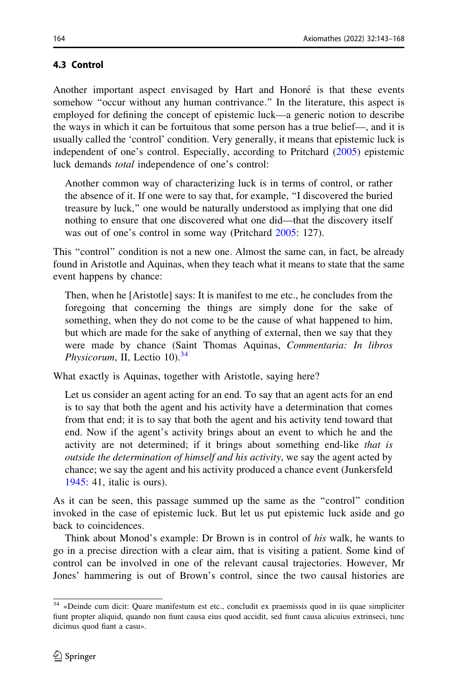## 4.3 Control

Another important aspect envisaged by Hart and Honoré is that these events somehow "occur without any human contrivance." In the literature, this aspect is employed for defining the concept of epistemic luck—a generic notion to describe the ways in which it can be fortuitous that some person has a true belief—, and it is usually called the 'control' condition. Very generally, it means that epistemic luck is independent of one's control. Especially, according to Pritchard ([2005\)](#page-24-0) epistemic luck demands total independence of one's control:

Another common way of characterizing luck is in terms of control, or rather the absence of it. If one were to say that, for example, ''I discovered the buried treasure by luck,'' one would be naturally understood as implying that one did nothing to ensure that one discovered what one did—that the discovery itself was out of one's control in some way (Pritchard [2005](#page-24-0): 127).

This "control" condition is not a new one. Almost the same can, in fact, be already found in Aristotle and Aquinas, when they teach what it means to state that the same event happens by chance:

Then, when he [Aristotle] says: It is manifest to me etc., he concludes from the foregoing that concerning the things are simply done for the sake of something, when they do not come to be the cause of what happened to him, but which are made for the sake of anything of external, then we say that they were made by chance (Saint Thomas Aquinas, Commentaria: In libros Physicorum, II, Lectio 10). $34$ 

What exactly is Aquinas, together with Aristotle, saying here?

Let us consider an agent acting for an end. To say that an agent acts for an end is to say that both the agent and his activity have a determination that comes from that end; it is to say that both the agent and his activity tend toward that end. Now if the agent's activity brings about an event to which he and the activity are not determined; if it brings about something end-like that is outside the determination of himself and his activity, we say the agent acted by chance; we say the agent and his activity produced a chance event (Junkersfeld [1945](#page-24-0): 41, italic is ours).

As it can be seen, this passage summed up the same as the ''control'' condition invoked in the case of epistemic luck. But let us put epistemic luck aside and go back to coincidences.

Think about Monod's example: Dr Brown is in control of *his* walk, he wants to go in a precise direction with a clear aim, that is visiting a patient. Some kind of control can be involved in one of the relevant causal trajectories. However, Mr Jones' hammering is out of Brown's control, since the two causal histories are

<sup>&</sup>lt;sup>34</sup> «Deinde cum dicit: Quare manifestum est etc., concludit ex praemissis quod in iis quae simpliciter fiunt propter aliquid, quando non fiunt causa eius quod accidit, sed fiunt causa alicuius extrinseci, tunc dicimus quod fiant a casu».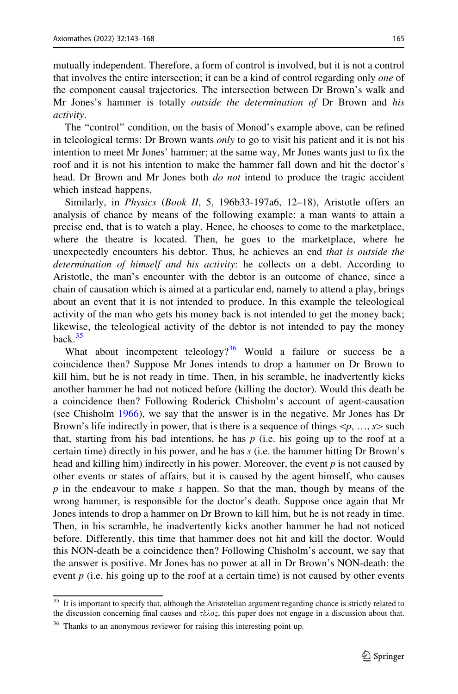mutually independent. Therefore, a form of control is involved, but it is not a control that involves the entire intersection; it can be a kind of control regarding only one of the component causal trajectories. The intersection between Dr Brown's walk and Mr Jones's hammer is totally *outside the determination of* Dr Brown and his activity.

The ''control'' condition, on the basis of Monod's example above, can be refined in teleological terms: Dr Brown wants *only* to go to visit his patient and it is not his intention to meet Mr Jones' hammer; at the same way, Mr Jones wants just to fix the roof and it is not his intention to make the hammer fall down and hit the doctor's head. Dr Brown and Mr Jones both *do not* intend to produce the tragic accident which instead happens.

Similarly, in *Physics (Book II*, 5, 196b33-197a6, 12–18), Aristotle offers an analysis of chance by means of the following example: a man wants to attain a precise end, that is to watch a play. Hence, he chooses to come to the marketplace, where the theatre is located. Then, he goes to the marketplace, where he unexpectedly encounters his debtor. Thus, he achieves an end that is outside the determination of himself and his activity: he collects on a debt. According to Aristotle, the man's encounter with the debtor is an outcome of chance, since a chain of causation which is aimed at a particular end, namely to attend a play, brings about an event that it is not intended to produce. In this example the teleological activity of the man who gets his money back is not intended to get the money back; likewise, the teleological activity of the debtor is not intended to pay the money  $back<sup>35</sup>$ 

What about incompetent teleology? $36$  Would a failure or success be a coincidence then? Suppose Mr Jones intends to drop a hammer on Dr Brown to kill him, but he is not ready in time. Then, in his scramble, he inadvertently kicks another hammer he had not noticed before (killing the doctor). Would this death be a coincidence then? Following Roderick Chisholm's account of agent-causation (see Chisholm [1966](#page-24-0)), we say that the answer is in the negative. Mr Jones has Dr Brown's life indirectly in power, that is there is a sequence of things  $\langle p, ..., s \rangle$  such that, starting from his bad intentions, he has  $p$  (i.e. his going up to the roof at a certain time) directly in his power, and he has s (i.e. the hammer hitting Dr Brown's head and killing him) indirectly in his power. Moreover, the event  $p$  is not caused by other events or states of affairs, but it is caused by the agent himself, who causes  $p$  in the endeavour to make s happen. So that the man, though by means of the wrong hammer, is responsible for the doctor's death. Suppose once again that Mr Jones intends to drop a hammer on Dr Brown to kill him, but he is not ready in time. Then, in his scramble, he inadvertently kicks another hammer he had not noticed before. Differently, this time that hammer does not hit and kill the doctor. Would this NON-death be a coincidence then? Following Chisholm's account, we say that the answer is positive. Mr Jones has no power at all in Dr Brown's NON-death: the event  $p$  (i.e. his going up to the roof at a certain time) is not caused by other events

<sup>&</sup>lt;sup>35</sup> It is important to specify that, although the Aristotelian argument regarding chance is strictly related to the discussion concerning final causes and  $\tau \& \lambda o \zeta$ , this paper does not engage in a discussion about that.

<sup>&</sup>lt;sup>36</sup> Thanks to an anonymous reviewer for raising this interesting point up.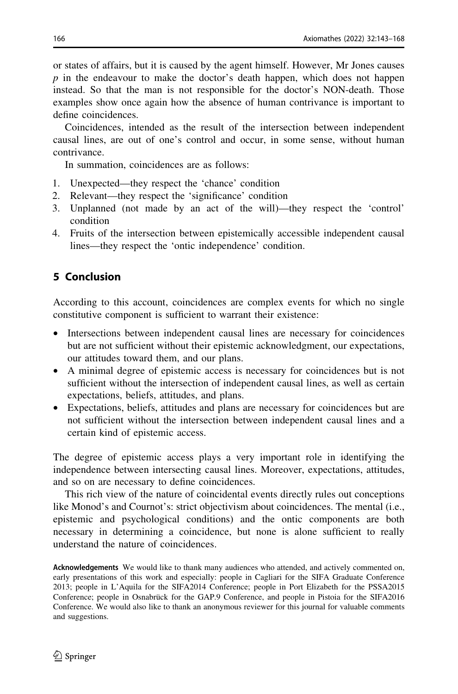or states of affairs, but it is caused by the agent himself. However, Mr Jones causes  $p$  in the endeavour to make the doctor's death happen, which does not happen instead. So that the man is not responsible for the doctor's NON-death. Those examples show once again how the absence of human contrivance is important to define coincidences.

Coincidences, intended as the result of the intersection between independent causal lines, are out of one's control and occur, in some sense, without human contrivance.

In summation, coincidences are as follows:

- 1. Unexpected—they respect the 'chance' condition
- 2. Relevant—they respect the 'significance' condition
- 3. Unplanned (not made by an act of the will)—they respect the 'control' condition
- 4. Fruits of the intersection between epistemically accessible independent causal lines—they respect the 'ontic independence' condition.

### 5 Conclusion

According to this account, coincidences are complex events for which no single constitutive component is sufficient to warrant their existence:

- Intersections between independent causal lines are necessary for coincidences but are not sufficient without their epistemic acknowledgment, our expectations, our attitudes toward them, and our plans.
- A minimal degree of epistemic access is necessary for coincidences but is not sufficient without the intersection of independent causal lines, as well as certain expectations, beliefs, attitudes, and plans.
- Expectations, beliefs, attitudes and plans are necessary for coincidences but are not sufficient without the intersection between independent causal lines and a certain kind of epistemic access.

The degree of epistemic access plays a very important role in identifying the independence between intersecting causal lines. Moreover, expectations, attitudes, and so on are necessary to define coincidences.

This rich view of the nature of coincidental events directly rules out conceptions like Monod's and Cournot's: strict objectivism about coincidences. The mental (i.e., epistemic and psychological conditions) and the ontic components are both necessary in determining a coincidence, but none is alone sufficient to really understand the nature of coincidences.

Acknowledgements We would like to thank many audiences who attended, and actively commented on, early presentations of this work and especially: people in Cagliari for the SIFA Graduate Conference 2013; people in L'Aquila for the SIFA2014 Conference; people in Port Elizabeth for the PSSA2015 Conference; people in Osnabrück for the GAP.9 Conference, and people in Pistoia for the SIFA2016 Conference. We would also like to thank an anonymous reviewer for this journal for valuable comments and suggestions.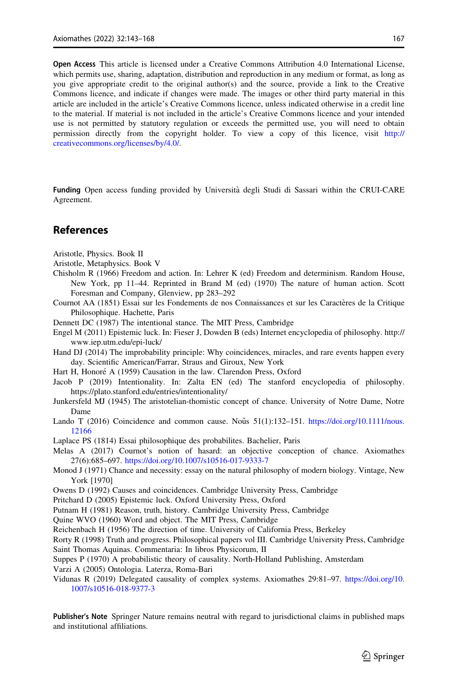<span id="page-24-0"></span>Open Access This article is licensed under a Creative Commons Attribution 4.0 International License, which permits use, sharing, adaptation, distribution and reproduction in any medium or format, as long as you give appropriate credit to the original author(s) and the source, provide a link to the Creative Commons licence, and indicate if changes were made. The images or other third party material in this article are included in the article's Creative Commons licence, unless indicated otherwise in a credit line to the material. If material is not included in the article's Creative Commons licence and your intended use is not permitted by statutory regulation or exceeds the permitted use, you will need to obtain permission directly from the copyright holder. To view a copy of this licence, visit [http://](http://creativecommons.org/licenses/by/4.0/) [creativecommons.org/licenses/by/4.0/.](http://creativecommons.org/licenses/by/4.0/)

Funding Open access funding provided by Università degli Studi di Sassari within the CRUI-CARE Agreement.

### References

- Aristotle, Physics. Book II
- Aristotle, Metaphysics. Book V
- Chisholm R (1966) Freedom and action. In: Lehrer K (ed) Freedom and determinism. Random House, New York, pp 11–44. Reprinted in Brand M (ed) (1970) The nature of human action. Scott Foresman and Company, Glenview, pp 283–292
- Cournot AA (1851) Essai sur les Fondements de nos Connaissances et sur les Caractères de la Critique Philosophique. Hachette, Paris
- Dennett DC (1987) The intentional stance. The MIT Press, Cambridge
- Engel M (2011) Epistemic luck. In: Fieser J, Dowden B (eds) Internet encyclopedia of philosophy. http:// www.iep.utm.edu/epi-luck/
- Hand DJ (2014) The improbability principle: Why coincidences, miracles, and rare events happen every day. Scientific American/Farrar, Straus and Giroux, New York
- Hart H, Honoré A (1959) Causation in the law. Clarendon Press, Oxford
- Jacob P (2019) Intentionality. In: Zalta EN (ed) The stanford encyclopedia of philosophy. https://plato.stanford.edu/entries/intentionality/
- Junkersfeld MJ (1945) The aristotelian-thomistic concept of chance. University of Notre Dame, Notre Dame
- Lando T (2016) Coincidence and common cause. Noûs  $51(1):132-151$ . [https://doi.org/10.1111/nous.](https://doi.org/10.1111/nous.12166) [12166](https://doi.org/10.1111/nous.12166)
- Laplace PS (1814) Essai philosophique des probabilites. Bachelier, Paris
- Melas A (2017) Cournot's notion of hasard: an objective conception of chance. Axiomathes 27(6):685–697. <https://doi.org/10.1007/s10516-017-9333-7>
- Monod J (1971) Chance and necessity: essay on the natural philosophy of modern biology. Vintage, New York [1970]
- Owens D (1992) Causes and coincidences. Cambridge University Press, Cambridge
- Pritchard D (2005) Epistemic luck. Oxford University Press, Oxford
- Putnam H (1981) Reason, truth, history. Cambridge University Press, Cambridge
- Quine WVO (1960) Word and object. The MIT Press, Cambridge
- Reichenbach H (1956) The direction of time. University of California Press, Berkeley
- Rorty R (1998) Truth and progress. Philosophical papers vol III. Cambridge University Press, Cambridge Saint Thomas Aquinas. Commentaria: In libros Physicorum, II
- Suppes P (1970) A probabilistic theory of causality. North-Holland Publishing, Amsterdam
- Varzi A (2005) Ontologia. Laterza, Roma-Bari
- Vidunas R (2019) Delegated causality of complex systems. Axiomathes 29:81–97. [https://doi.org/10.](https://doi.org/10.1007/s10516-018-9377-3) [1007/s10516-018-9377-3](https://doi.org/10.1007/s10516-018-9377-3)

Publisher's Note Springer Nature remains neutral with regard to jurisdictional claims in published maps and institutional affiliations.